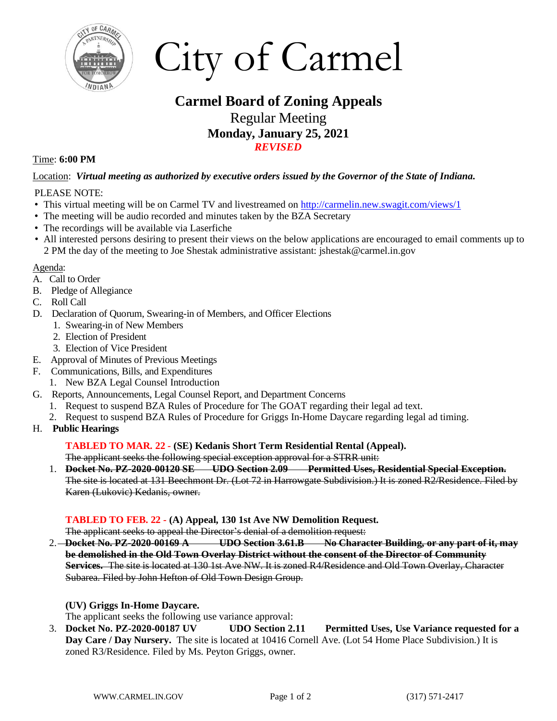

City of Carmel

# **Carmel Board of Zoning Appeals** Regular Meeting **Monday, January 25, 2021** *REVISED*

#### Time: **6:00 PM**

Location: *Virtual meeting as authorized by executive orders issued by the Governor of the State of Indiana***.** 

#### PLEASE NOTE:

- This virtual meeting will be on Carmel TV and livestreamed on <http://carmelin.new.swagit.com/views/1>
- The meeting will be audio recorded and minutes taken by the BZA Secretary
- The recordings will be available via Laserfiche
- All interested persons desiring to present their views on the below applications are encouraged to email comments up to 2 PM the day of the meeting to Joe Shestak administrative assistant: jshestak@carmel.in.gov

#### Agenda:

- A. Call to Order
- B. Pledge of Allegiance
- C. Roll Call
- D. Declaration of Quorum, Swearing-in of Members, and Officer Elections
	- 1. Swearing-in of New Members
		- 2. Election of President
		- 3. Election of Vice President
- E. Approval of Minutes of Previous Meetings
- F. Communications, Bills, and Expenditures
	- 1. New BZA Legal Counsel Introduction
- G. Reports, Announcements, Legal Counsel Report, and Department Concerns
	- 1. Request to suspend BZA Rules of Procedure for The GOAT regarding their legal ad text.
	- 2. Request to suspend BZA Rules of Procedure for Griggs In-Home Daycare regarding legal ad timing.
- H. **Public Hearings**

#### **TABLED TO MAR. 22** *-* **(SE) Kedanis Short Term Residential Rental (Appeal).**

The applicant seeks the following special exception approval for a STRR unit:

1. **Docket No. PZ-2020-00120 SE UDO Section 2.09 Permitted Uses, Residential Special Exception.**  The site is located at 131 Beechmont Dr. (Lot 72 in Harrowgate Subdivision.) It is zoned R2/Residence. Filed by Karen (Lukovic) Kedanis, owner.

#### **TABLED TO FEB. 22** *-* **(A) Appeal, 130 1st Ave NW Demolition Request.**

The applicant seeks to appeal the Director's denial of a demolition request:

2. **Docket No. PZ-2020-00169 A UDO Section 3.61.B No Character Building, or any part of it, may be demolished in the Old Town Overlay District without the consent of the Director of Community Services.** The site is located at 130 1st Ave NW. It is zoned R4/Residence and Old Town Overlay, Character Subarea. Filed by John Hefton of Old Town Design Group.

### **(UV) Griggs In-Home Daycare.**

The applicant seeks the following use variance approval:

3. **Docket No. PZ-2020-00187 UV UDO Section 2.11 Permitted Uses, Use Variance requested for a Day Care / Day Nursery.** The site is located at 10416 Cornell Ave. (Lot 54 Home Place Subdivision.) It is zoned R3/Residence. Filed by Ms. Peyton Griggs, owner.